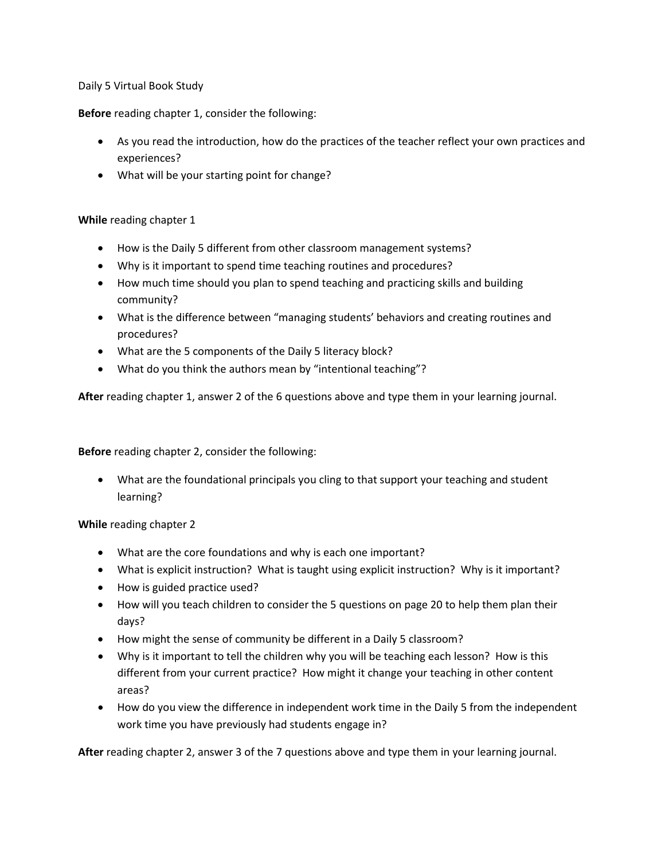Daily 5 Virtual Book Study

**Before** reading chapter 1, consider the following:

- As you read the introduction, how do the practices of the teacher reflect your own practices and experiences?
- What will be your starting point for change?

## **While** reading chapter 1

- How is the Daily 5 different from other classroom management systems?
- Why is it important to spend time teaching routines and procedures?
- How much time should you plan to spend teaching and practicing skills and building community?
- What is the difference between "managing students' behaviors and creating routines and procedures?
- What are the 5 components of the Daily 5 literacy block?
- What do you think the authors mean by "intentional teaching"?

**After** reading chapter 1, answer 2 of the 6 questions above and type them in your learning journal.

**Before** reading chapter 2, consider the following:

• What are the foundational principals you cling to that support your teaching and student learning?

**While** reading chapter 2

- What are the core foundations and why is each one important?
- What is explicit instruction? What is taught using explicit instruction? Why is it important?
- How is guided practice used?
- How will you teach children to consider the 5 questions on page 20 to help them plan their days?
- How might the sense of community be different in a Daily 5 classroom?
- Why is it important to tell the children why you will be teaching each lesson? How is this different from your current practice? How might it change your teaching in other content areas?
- How do you view the difference in independent work time in the Daily 5 from the independent work time you have previously had students engage in?

**After** reading chapter 2, answer 3 of the 7 questions above and type them in your learning journal.